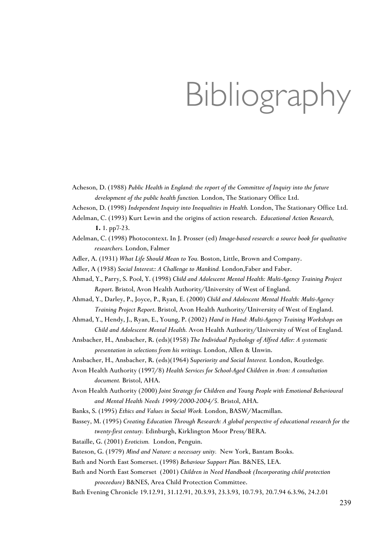## Bibliography

- Acheson, D. (1988) *Public Health in England: the report of the Committee of Inquiry into the future development of the public health function.* London, The Stationary Office Ltd.
- Acheson, D. (1998) *Independent Inquiry into Inequalities in Health.* London, The Stationary Office Ltd.
- Adelman, C. (1993) Kurt Lewin and the origins of action research. *Educational Action Research,*  **1.** 1. pp7-23.
- Adelman, C. (1998) Photocontext. In J. Prosser (ed) *Image-based research: a source book for qualitative researchers.* London, Falmer
- Adler, A. (1931) *What Life Should Mean to You.* Boston, Little, Brown and Company.
- Adler, A (1938) *Social Interest:: A Challenge to Mankind.* London,Faber and Faber.
- Ahmad, Y., Parry, S. Pool, Y. (1998) *Child and Adolescent Mental Health: Multi-Agency Training Project Report*. Bristol, Avon Health Authority/University of West of England.
- Ahmad, Y., Darley, P., Joyce, P., Ryan, E. (2000) *Child and Adolescent Mental Health: Multi-Agency Training Project Report*. Bristol, Avon Health Authority/University of West of England.
- Ahmad, Y., Hendy, J., Ryan, E., Young, P. (2002) *Hand in Hand: Multi-Agency Training Workshops on Child and Adolescent Mental Health.* Avon Health Authority/University of West of England.
- Ansbacher, H., Ansbacher, R. (eds)(1958) *The Individual Psychology of Alfred Adler: A systematic presentation in selections from his writings.* London, Allen & Unwin.
- Ansbacher, H., Ansbacher, R. (eds)(1964) S*uperiority and Social Interest.* London, Routledge*.*
- Avon Health Authority (1997/8) *Health Services for School-Aged Children in Avon: A consultation document.* Bristol, AHA.
- Avon Health Authority (2000) *Joint Strategy for Children and Young People with Emotional Behavioural and Mental Health Needs 1999/2000-2004/5.* Bristol, AHA.
- Banks, S. (1995) *Ethics and Values in Social Work.* London, BASW/Macmillan.
- Bassey, M. (1995) *Creating Education Through Research: A global perspective of educational research for the twenty-first century.* Edinburgh, Kirklington Moor Press/BERA.
- Bataille, G. (2001) *Eroticism.* London, Penguin.
- Bateson, G. (1979) *Mind and Nature: a necessary unity.* New York, Bantam Books.
- Bath and North East Somerset. (1998) *Behaviour Support Plan.* B&NES, LEA.
- Bath and North East Somerset (2001) *Children in Need Handbook (Incorporating child protection proceedure)* B&NES, Area Child Protection Committee.
- Bath Evening Chronicle 19.12.91, 31.12.91, 20.3.93, 23.3.93, 10.7.93, 20.7.94 6.3.96, 24.2.01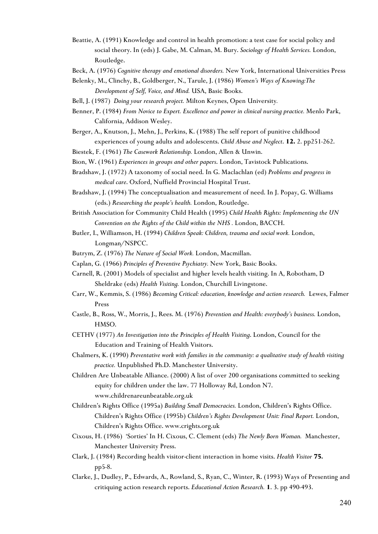- Beattie, A. (1991) Knowledge and control in health promotion: a test case for social policy and social theory. In (eds) J. Gabe, M. Calman, M. Bury. *Sociology of Health Services.* London, Routledge.
- Beck, A. (1976) *Cognitive therapy and emotional disorders.* New York, International Universities Press
- Belenky, M., Clinchy, B., Goldberger, N., Tarule, J. (1986) *Women's Ways of Knowing:The Development of Self, Voice, and Mind.* USA, Basic Books.
- Bell, J. (1987) *Doing your research project.* Milton Keynes, Open University*.*
- Benner, P. (1984) *From Novice to Expert. Excellence and power in clinical nursing practice.* Menlo Park, California, Addison Wesley.
- Berger, A., Knutson, J., Mehn, J., Perkins, K. (1988) The self report of punitive childhood experiences of young adults and adolescents. *Child Abuse and Neglect*. **12.** 2. pp251-262.
- Biestek, F. (1961) *The Casework Relationship.* London, Allen & Unwin.
- Bion, W. (1961) *Experiences in groups and other papers*. London, Tavistock Publications.
- Bradshaw, J. (1972) A taxonomy of social need. In G. Maclachlan (ed) *Problems and progress in medical care*. Oxford, Nuffield Provincial Hospital Trust.
- Bradshaw, J. (1994) The conceptualisation and measurement of need. In J. Popay, G. Williams (eds.) *Researching the people's health.* London, Routledge.
- British Association for Community Child Health (1995) *Child Health Rights: Implementing the UN Convention on the Rights of the Child within the NHS .* London, BACCH.
- Butler, I., Williamson, H. (1994) *Children Speak: Children, trauma and social work.* London, Longman/NSPCC.
- Butrym, Z. (1976) *The Nature of Social Work.* London, Macmillan.
- Caplan, G. (1966) *Principles of Preventive Psychiatry.* New York, Basic Books.
- Carnell, R. (2001) Models of specialist and higher levels health visiting. In A, Robotham, D Sheldrake (eds) *Health Visiting.* London, Churchill Livingstone.
- Carr, W., Kemmis, S. (1986) *Becoming Critical: education, knowledge and action research.* Lewes, Falmer Press
- Castle, B., Ross, W., Morris, J., Rees. M. (1976) *Prevention and Health: everybody's business.* London, HMSO.
- CETHV (1977) *An Investigation into the Principles of Health Visiting*. London, Council for the Education and Training of Health Visitors.
- Chalmers, K. (1990) *Preventative work with families in the community: a qualitative study of health visiting practice.* Unpublished Ph.D. Manchester University.
- Children Are Unbeatable Alliance. (2000) A list of over 200 organisations committed to seeking equity for children under the law. 77 Holloway Rd, London N7. www.childrenareunbeatable.org.uk
- Children's Rights Office (1995a) *Building Small Democracies.* London, Children's Rights Office. Children's Rights Office (1995b) *Children's Rights Development Unit: Final Report.* London, Children's Rights Office. www.crights.org.uk
- Cixous, H. (1986) 'Sorties' In H. Cixous, C. Clement (eds) *The Newly Born Woman.* Manchester, Manchester University Press.
- Clark, J. (1984) Recording health visitor-client interaction in home visits. *Health Visitor* **75***.* pp5-8.
- Clarke, J., Dudley, P., Edwards, A., Rowland, S., Ryan, C., Winter, R. (1993) Ways of Presenting and critiquing action research reports. *Educational Action Research.* **1**. 3. pp 490-493.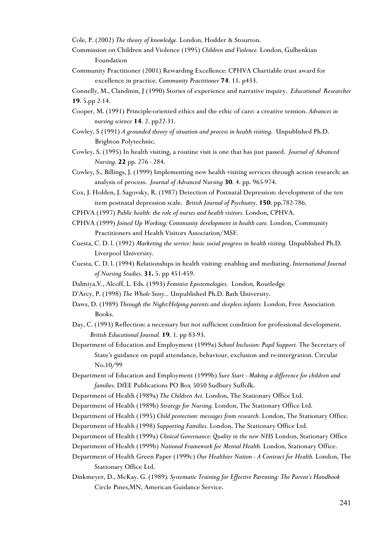Cole, P. (2002) *The theory of knowledge.* London, Hodder & Stourton.

- Commission on Children and Violence (1995) *Children and Violence.* London, Gulbenkian Foundation
- Community Practitioner (2001) Rewarding Excellence: CPHVA Chartiable trust award for excellence in practice. *Community Practitioner* **74**. 11. p433.

Connelly, M., Clandinin, J (1990) Stories of experience and narrative inquiry. *Educational Researcher* **19**. 5.pp 2-14.

- Cooper, M. (1991) Principle-oriented ethics and the ethic of care: a creative tension. *Advances in nursing science* **14**. 2. pp22-31.
- Cowley, S (1991) *A grounded theory of situation and process in health visiting.* Unpublished Ph.D. Brighton Polytechnic.
- Cowley, S. (1995) In health visiting, a routine visit is one that has just passed. *Journal of Advanced Nursing.* **22** pp. 276 - 284.
- Cowley, S., Billings, J. (1999) Implementing new health visiting services through action research: an analysis of process. *Journal of Advanced Nursing* **30**. 4. pp. 965-974.
- Cox, J. Holden, J. Sagovsky, R. (1987) Detection of Postnatal Depression: development of the ten item postnatal depression scale. *British Journal of Psychiatry.* **150**. pp.782-786.
- CPHVA (1997) *Public health: the role of nurses and health visitors.* London, CPHVA.
- CPHVA (1999) *Joined Up Working: Community development in health care.* London, Community Practitioners and Health Visitors Association/MSF.
- Cuesta, C. D. l. (1992) *Marketing the service: basic social progress in health visiting.* Unpublished Ph.D. Liverpool University.
- Cuesta, C. D. l. (1994) Relationships in health visiting: enabling and mediating. *International Journal of Nursing Studies*. **31.** 5. pp 451-459.
- Dalmiya,V., Alcoff, L. Eds. (1993) *Feminist Epistemologies.* London, Routledge
- D'Arcy, P. (1998) *The Whole Story...* Unpublished Ph.D. Bath University.
- Daws, D. (1989) *Through the Night:Helping parents and sleepless infants.* London, Free Association Books.
- Day, C. (1993) Reflection: a necessary but not sufficient condition for professional development. *British Educational Journal.* **19**. 1. pp 83-93.
- Department of Education and Employment (1999a) *School Inclusion: Pupil Support.* The Secretary of State's guidance on pupil attendance, behaviour, exclusion and re-intergration. Circular No.10/99
- Department of Education and Employment (1999b) *Sure Start Making a difference for children and families.* DfEE Publications PO Box 5050 Sudbury Suffolk.
- Department of Health (1989a) *The Children Act.* London, The Stationary Office Ltd.
- Department of Health (1989b) *Strategy for Nursing.* London, The Stationary Office Ltd.
- Department of Health (1995) *Child protection: messages from research.* London, The Stationary Office.
- Department of Health (1998) *Supporting Families.* London, The Stationary Office Ltd.
- Department of Health (1999a) *Clinical Governance: Quality in the new NHS* London, Stationary Office
- Department of Health (1999b) *National Framework for Mental Health.* London, Stationary Office.
- Department of Health Green Paper (1999c) *Our Healthier Nation A Contract for Health.* London, The Stationary Office Ltd.
- Dinkmeyer, D., McKay. G. (1989)*. Systematic Training for Effective Parenting: The Parent's Handbook* Circle Pines,MN, American Guidance Service.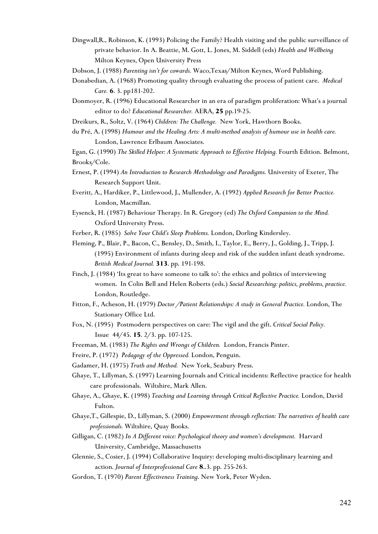- Dingwall,R., Robinson, K. (1993) Policing the Family? Health visiting and the public surveillance of private behavior. In A. Beattie, M. Gott, L. Jones, M. Siddell (eds) *Health and Wellbeing* Milton Keynes, Open University Press
- Dobson, J. (1988) *Parenting isn't for cowards.* Waco,Texas/Milton Keynes, Word Publishing.
- Donabedian, A. (1968) Promoting quality through evaluating the process of patient care. *Medical Care. 6*. 3. pp181-202.
- Donmoyer, R. (1996) Educational Researcher in an era of paradigm proliferation: What's a journal editor to do? *Educational Researcher.* AERA, **25** pp.19-25.
- Dreikurs, R., Soltz, V. (1964) *Children: The Challenge.* New York, Hawthorn Books.
- du Pré, A. (1998) *Humour and the Healing Arts: A multi-method analysis of humour use in health care.*  London, Lawrence Erlbaum Associates.

Egan, G. (1990) *The Skilled Helper: A Systematic Approach to Effective Helping.* Fourth Edition. Belmont, Brooks/Cole.

- Ernest, P. (1994) *An Introduction to Research Methodology and Paradigms.* University of Exeter, The Research Support Unit.
- Everitt, A., Hardiker, P., Littlewood, J., Mullender, A. (1992) *Applied Research for Better Practice.*  London, Macmillan.
- Eysenck, H. (1987) Behaviour Therapy. In R. Gregory (ed) *The Oxford Companion to the Mind.*  Oxford University Press.
- Ferber, R. (1985) *Solve Your Child's Sleep Problems.* London, Dorling Kindersley.
- Fleming, P., Blair, P., Bacon, C., Bensley, D., Smith, I., Taylor, E., Berry, J., Golding, J., Tripp, J. (1995) Environment of infants during sleep and risk of the sudden infant death syndrome. *British Medical Journal.* **313**. pp. 191-198.
- Finch, J. (1984) 'Its great to have someone to talk to': the ethics and politics of interviewing women. In Colin Bell and Helen Roberts (eds.) *Social Researching: politics, problems, practice.* London, Routledge.
- Fitton, F., Acheson, H. (1979) *Doctor /Patient Relationships: A study in General Practice.* London, The Stationary Office Ltd.
- Fox, N. (1995) Postmodern perspectives on care: The vigil and the gift. *Critical Social Policy.*  Issue 44/45. **15**. 2/3. pp. 107-125.
- Freeman, M. (1983) *The Rights and Wrongs of Children.* London, Francis Pinter.
- Freire, P. (1972) *Pedagogy of the Oppressed.* London, Penguin.
- Gadamer, H. (1975) *Truth and Method.* New York, Seabury Press.
- Ghaye, T., Lillyman, S. (1997) Learning Journals and Critical incidents: Reflective practice for health care professionals. Wiltshire, Mark Allen.
- Ghaye, A., Ghaye, K. (1998) *Teaching and Learning through Critical Reflective Practice.* London, David Fulton.
- Ghaye,T., Gillespie, D., Lillyman, S. (2000) *Empowerment through reflection: The narratives of health care professionals.* Wiltshire, Quay Books.
- Gilligan, C. (1982) *In A Different voice: Psychological theory and women's development.* Harvard University, Cambridge, Massachusetts
- Glennie, S., Cosier, J. (1994) Collaborative Inquiry: developing multi-disciplinary learning and action. *Journal of Interprofessional Care* **8**..3. pp. 255-263.
- Gordon, T. (1970) *Parent Effectiveness Training*. New York, Peter Wyden.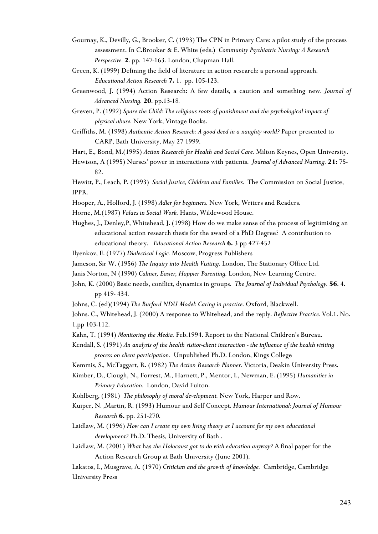- Gournay, K., Devilly, G., Brooker, C. (1993) The CPN in Primary Care: a pilot study of the process assessment. In C.Brooker & E. White (eds.) *Community Psychiatric Nursing: A Research Perspective.* **2**. pp. 147-163. London, Chapman Hall.
- Green, K. (1999) Defining the field of literature in action research: a personal approach. *Educational Action Research* **7.** 1. pp. 105-123.
- Greenwood, J. (1994) Action Research: A few details, a caution and something new. *Journal of Advanced Nursing.* **20**. pp.13-18*.*

Greven, P. (1992) *Spare the Child: The religious roots of punishment and the psychological impact of physical abuse.* New York, Vintage Books.

Griffiths, M. (1998) *Authentic Action Research: A good deed in a naughty world?* Paper presented to CARP, Bath University, May 27 1999.

Hart, E., Bond, M.(1995) *Action Research for Health and Social Care.* Milton Keynes, Open University.

Hewison, A (1995) Nurses' power in interactions with patients. *Journal of Advanced Nursing.* **21:** 75- 82.

Hewitt, P., Leach, P. (1993) *Social Justice, Children and Families.* The Commission on Social Justice, IPPR.

- Hooper, A., Holford, J. (1998) *Adler for beginners.* New York, Writers and Readers.
- Horne, M.(1987) *Values in Social Work.* Hants, Wildewood House.
- Hughes, J., Denley,P, Whitehead, J. (1998) How do we make sense of the process of legitimising an educational action research thesis for the award of a PhD Degree? A contribution to educational theory. *Educational Action Research* **6.** 3 pp 427-452
- Ilyenkov, E. (1977) *Dialectical Logic.* Moscow, Progress Publishers
- Jameson, Sir W. (1956) *The Inquiry into Health Visiting.* London, The Stationary Office Ltd.
- Janis Norton, N (1990) *Calmer, Easier, Happier Parenting.* London, New Learning Centre.
- John, K. (2000) Basic needs, conflict, dynamics in groups. *The Journal of Individual Psychology.* **56**. 4. pp 419- 434.
- Johns, C. (ed)(1994) *The Burford NDU Model: Caring in practice.* Oxford, Blackwell.

Johns. C., Whitehead, J. (2000) A response to Whitehead, and the reply. *Reflective Practice.* Vol.1. No. 1.pp 103-112.

- Kahn, T. (1994) *Monitoring the Media.* Feb.1994. Report to the National Children's Bureau.
- Kendall, S. (1991) *An analysis of the health visitor-client interaction the influence of the health visiting process on client participation.* Unpublished Ph.D. London, Kings College
- Kemmis, S., McTaggart, R. (1982) *The Action Research Planner.* Victoria, Deakin University Press.
- Kimber, D., Clough, N., Forrest, M., Harnett, P., Mentor, I., Newman, E. (1995) *Humanities in Primary Education.* London, David Fulton.
- Kohlberg, (1981) *The philosophy of moral development.* New York, Harper and Row.
- Kuiper, N. ,Martin, R. (1993) Humour and Self Concept. *Humour International: Journal of Humour Research* **6.** pp. 251-270.
- Laidlaw, M. (1996) *How can I create my own living theory as I account for my own educational development?* Ph.D. Thesis, University of Bath .
- Laidlaw, M. (2001) *What* has *the Holocaust got to do with education anyway?* A final paper for the Action Research Group at Bath University (June 2001).
- Lakatos, I., Musgrave, A. (1970) *Criticism and the growth of knowledge.* Cambridge, Cambridge University Press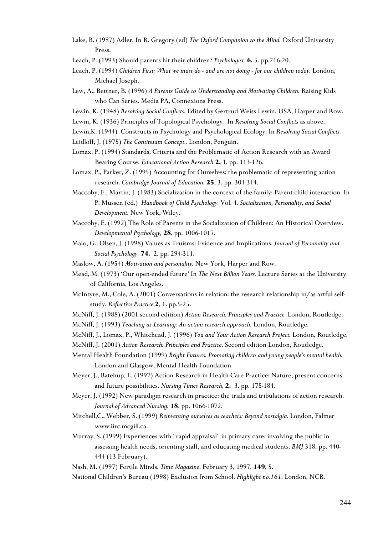- Lake, B. (1987) Adler. In R. Gregory (ed) *The Oxford Companion to the Mind.* Oxford University Press.
- Leach, P. (1993) Should parents hit their children? *Psychologist. 6.* 5. pp.216-20.
- Leach, P. (1994) *Children First: What we must do and are not doing for our children today*. London, Michael Joseph.
- Lew, A., Bettner, B. (1996) *A Parents Guide to Understanding and Motivating Children*. Raising Kids who Can Series. Media PA, Connexions Press.
- Lewin, K. (1948) *Resolving Social Conflicts.* Edited by Gertrud Weiss Lewin. USA, Harper and Row.
- Lewin, K. (1936) Principles of Topological Psychology*.* In *Resolving Social Conflicts* as above.
- Lewin,K. (1944) Constructs in Psychology and Psychological Ecology. In *Resolving Social Conflicts.*
- Leidloff, J. (1975) *The Continuum Concept..* London, Penguin.
- Lomax, P. (1994) Standards, Criteria and the Problematic of Action Research with an Award Bearing Course. *Educational Action Research* **2.** 1. pp. 113-126.
- Lomax, P., Parker, Z. (1995) Accounting for Ourselves: the problematic of representing action research. *Cambridge Journal of Education.* **25**, 3. pp. 301-314.
- Maccoby, E., Martin, J. (1983) Socialization in the context of the family: Parent-child interaction. In P. Mussen (ed.) *Handbook of Child Psychology.* Vol. 4*. Socialization, Personality, and Social Development.* New York, Wiley.
- Maccoby, E. (1992) The Role of Parents in the Socialization of Children: An Historical Overview. *Developmental Psychology,* **28***.* pp. 1006-1017.
- Maio, G., Olsen, J. (1998) Values as Truisms: Evidence and Implications. *Journal of Personality and Social Psychology.* **74.** 2. pp. 294-311.
- Maslow, A. (1954) *Motivation and personality.* New York, Harper and Row.
- Mead, M. (1973) 'Our open-ended future' In *The Next Billion Years.* Lecture Series at the University of California, Los Angeles.
- McIntyre, M., Cole, A. (2001) Conversations in relation: the research relationship in/as artful selfstudy. *Reflective Practice,***2**, 1. pp.5-25.
- McNiff, J. (1988) (2001 second edition) *Action Research: Principles and Practice.* London, Routledge.
- McNiff, J. (1993) *Teaching as Learning: An action research approach.* London, Routledge*.*
- McNiff, J., Lomax, P., Whitehead, J. (1996) *You and Your Action Research Project.* London, Routledge.
- McNiff, J. (2001) *Action Research: Principles and Practice*. Second edition London, Routledge.
- Mental Health Foundation (1999) *Bright Futures: Promoting children and young people's mental health.* London and Glasgow, Mental Health Foundation.
- Meyer, J., Batehup, L. (1997) Action Research in Health-Care Practice: Nature, present concerns and future possibilities. *Nursing Times Research.* **2.** 3. pp. 175-184*.*
- Meyer, J. (1992) New paradigm research in practice: the trials and tribulations of action research. *Journal of Advanced Nursing.* **18**. pp. 1066-1072.
- Mitchell,C., Webber, S. (1999) *Reinventing ourselves as teachers: Beyond nostalgia.* London, Falmer www.iirc.mcgill.ca.
- Murray, S. (1999) Experiences with "rapid appraisal" in primary care: involving the public in assessing health needs, orienting staff, and educating medical students. *BMJ* 318. pp. 440- 444 (13 February).
- Nash, M. (1997) Fertile Minds. *Time Magazine*. February 3, 1997, **149**, 5.
- National Children's Bureau (1998) Exclusion from School. *Highlight no.161*. London, NCB.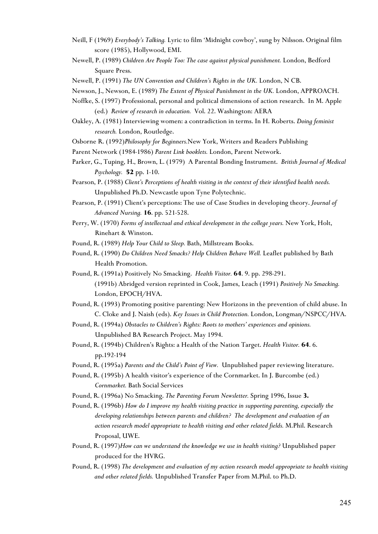- Neill, F (1969) *Everybody's Talking.* Lyric to film 'Midnight cowboy', sung by Nilsson. Original film score (1985), Hollywood, EMI.
- Newell, P. (1989) *Children Are People Too: The case against physical punishment.* London, Bedford Square Press.
- Newell, P. (1991) *The UN Convention and Children's Rights in the UK.* London, N CB.
- Newson, J., Newson, E. (1989) *The Extent of Physical Punishment in the UK.* London, APPROACH.
- Noffke, S. (1997) Professional, personal and political dimensions of action research. In M. Apple (ed.) *Review of research in education.* Vol. 22. Washington: AERA
- Oakley, A. (1981) Interviewing women: a contradiction in terms. In H. Roberts. *Doing feminist research.* London, Routledge.
- Osborne R. (1992)*Philosophy for Beginners.*New York, Writers and Readers Publishing
- Parent Network (1984-1986) *Parent Link booklets.* London, Parent Network.
- Parker, G., Tuping, H., Brown, L. (1979) A Parental Bonding Instrument. *British Journal of Medical Psychology.* **52** pp. 1-10.
- Pearson, P. (1988) *Client's Perceptions of health visiting in the context of their identified health needs.* Unpublished Ph.D. Newcastle upon Tyne Polytechnic.
- Pearson, P. (1991) Client's perceptions: The use of Case Studies in developing theory. *Journal of Advanced Nursing.* **16**. pp. 521-528.
- Perry, W. (1970) *Forms of intellectual and ethical development in the college years.* New York, Holt, Rinehart & Winston.
- Pound, R. (1989) *Help Your Child to Sleep.* Bath, Millstream Books.
- Pound, R. (1990) *Do Children Need Smacks? Help Children Behave Well.* Leaflet published by Bath Health Promotion.
- Pound, R. (1991a) Positively No Smacking. *Health Visitor.* **64**. 9. pp. 298-291. (1991b) Abridged version reprinted in Cook, James, Leach (1991) *Positively No Smacking.* London, EPOCH/HVA.
- Pound, R. (1993) Promoting positive parenting: New Horizons in the prevention of child abuse. In C. Cloke and J. Naish (eds). *Key Issues in Child Protection.* London, Longman/NSPCC/HVA.

Pound, R. (1994a) *Obstacles to Children's Rights: Roots to mothers' experiences and opinions.*  Unpublished BA Research Project. May 1994.

- Pound, R. (1994b) Children's Rights: a Health of the Nation Target. *Health Visitor.* **64**. 6. pp.192-194
- Pound, R. (1995a) *Parents and the Child's Point of View.* Unpublished paper reviewing literature.
- Pound, R. (1995b) A health visitor's experience of the Cornmarket. In J. Burcombe (ed.) *Cornmarket.* Bath Social Services
- Pound, R. (1996a) No Smacking. *The Parenting Forum Newsletter.* Spring 1996, Issue **3.**
- Pound, R. (1996b) *How do I improve my health visiting practice in supporting parenting, especially the developing relationships between parents and children? The development and evaluation of an action research model appropriate to health visiting and other related fields.* M.Phil. Research Proposal, UWE.
- Pound, R. (1997)*How can we understand the knowledge we use in health visiting?* Unpublished paper produced for the HVRG.
- Pound, R. (1998) *The development and evaluation of my action research model appropriate to health visiting and other related fields.* Unpublished Transfer Paper from M.Phil. to Ph.D.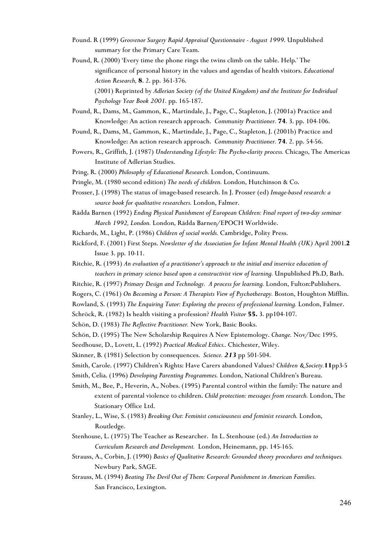- Pound. R (1999) *Grosvenor Surgery Rapid Appraisal Questionnaire August 1999*. Unpublished summary for the Primary Care Team.
- Pound, R. (2000) 'Every time the phone rings the twins climb on the table. Help.' The significance of personal history in the values and agendas of health visitors. *Educational Action Research,* **8**. 2. pp. 361-376.

(2001) Reprinted by *Adlerian Society (of the United Kingdom) and the Institute for Individual Psychology Year Book 2001.* pp. 165-187.

- Pound, R., Dams, M., Gammon, K., Martindale, J., Page, C., Stapleton, J. (2001a) Practice and Knowledge: An action research approach. *Community Practitioner.* **74**. 3. pp. 104-106.
- Pound, R., Dams, M., Gammon, K., Martindale, J., Page, C., Stapleton, J. (2001b) Practice and Knowledge: An action research approach. *Community Practitioner.* **74**. 2. pp. 54-56.
- Powers, R., Griffith, J. (1987) *Understanding Lifestyle: The Psycho-clarity process.* Chicago, The Americas Institute of Adlerian Studies.

Pring, R. (2000) *Philosophy of Educational Research.* London, Continuum.

- Pringle, M. (1980 second edition) *The needs of children.* London, Hutchinson & Co.
- Prosser, J. (1998) The status of image-based research. In J. Prosser (ed) *Image-based research: a source book for qualitative researchers.* London, Falmer.
- Rädda Barnen (1992) *Ending Physical Punishment of European Children: Final report of two-day seminar March 1992, London.* London, Rädda Barnen/EPOCH Worldwide.
- Richards, M., Light, P. (1986) *Children of social worlds.* Cambridge, Polity Press.
- Rickford, F. (2001) First Steps. *Newsletter of the Association for Infant Mental Health (UK)* April 2001.**2** Issue 3. pp. 10-11.
- Ritchie, R. (1993) *An evaluation of a practitioner's approach to the initial and inservice education of teachers in primary science based upon a constructivist view of learning.* Unpublished Ph.D, Bath.
- Ritchie, R. (1997) *Primary Design and Technology. A process for learning.* London, Fulton:Publishers.
- Rogers, C. (1961) *On Becoming a Person: A Therapists View of Psychotherapy.* Boston, Houghton Mifflin.

Rowland, S. (1993) *The Enquiring Tutor: Exploring the process of professional learning.* London, Falmer.

Schröck, R. (1982) Is health visiting a profession? *Health Visitor* **55.** 3. pp104-107.

- Schön, D. (1983) *The Reflective Practitioner.* New York, Basic Books.
- Schön, D. (1995) The New Scholarship Requires A New Epistemology. *Change.* Nov/Dec 1995.
- Seedhouse, D., Lovett, L. (1992) *Practical Medical Ethics..* Chichester, Wiley.
- Skinner, B. (1981) Selection by consequences. *Science. 213* pp 501-504.
- Smith, Carole. (1997) Children's Rights: Have Carers abandoned Values? *Children &Society.***11**pp3-5
- Smith, Celia. (1996) *Developing Parenting Programmes.* London, National Children's Bureau.
- Smith, M., Bee, P., Heverin, A., Nobes. (1995) Parental control within the family: The nature and extent of parental violence to children. *Child protection: messages from research.* London, The Stationary Office Ltd.
- Stanley, L., Wise, S. (1983) *Breaking Out: Feminist consciousness and feminist research.* London, Routledge.
- Stenhouse, L. (1975) The Teacher as Researcher. In L. Stenhouse (ed.) *An Introduction to Curriculum Research and Development.* London, Heinemann, pp. 145-165.
- Strauss, A., Corbin, J. (1990) *Basics of Qualitative Research: Grounded theory procedures and techniques.* Newbury Park, SAGE.
- Strauss, M. (1994) *Beating The Devil Out of Them: Corporal Punishment in American Families.* San Francisco, Lexington.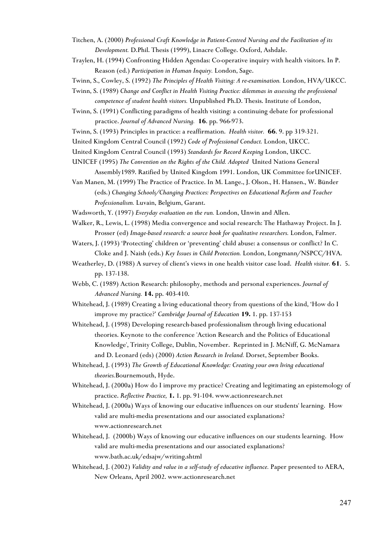- Titchen, A. (2000) *Professional Craft Knowledge in Patient-Centred Nursing and the Facilitation of its Development.* D.Phil. Thesis (1999), Linacre College. Oxford, Ashdale.
- Traylen, H. (1994) Confronting Hidden Agendas: Co-operative inquiry with health visitors. In P. Reason (ed.) *Participation in Human Inquiry.* London, Sage.
- Twinn, S., Cowley, S. (1992) *The Principles of Health Visiting: A re-examination.* London, HVA/UKCC.
- Twinn, S. (1989) *Change and Conflict in Health Visiting Practice: dilemmas in assessing the professional competence of student health visitors.* Unpublished Ph.D. Thesis. Institute of London,
- Twinn, S. (1991) Conflicting paradigms of health visiting: a continuing debate for professional practice. *Journal of Advanced Nursing.* **16**. pp. 966-973.
- Twinn, S. (1993) Principles in practice: a reaffirmation. *Health visitor.* **66**. 9. pp 319-321.
- United Kingdom Central Council (1992) *Code of Professional Conduct.* London, UKCC.
- United Kingdom Central Council (1993) *Standards for Record Keeping* London, UKCC.
- UNICEF (1995) *The Convention on the Rights of the Child. Adopted* United Nations General Assembly1989. Ratified by United Kingdom 1991. London, UK Committee forUNICEF.
- Van Manen, M. (1999) The Practice of Practice. In M. Lange., J. Olson., H. Hansen., W. Bünder (eds.) *Changing Schools/Changing Practices: Perspectives on Educational Reform and Teacher Professionalism.* Luvain, Belgium, Garant.
- Wadsworth, Y. (1997) *Everyday evaluation on the run.* London, Unwin and Allen.
- Walker, R., Lewis, L. (1998) Media convergence and social research: The Hathaway Project. In J. Prosser (ed) *Image-based research: a source book for qualitative researchers.* London, Falmer.
- Waters, J. (1993) 'Protecting' children or 'preventing' child abuse: a consensus or conflict? In C. Cloke and J. Naish (eds.) *Key Issues in Child Protection.* London, Longmann/NSPCC/HVA.
- Weatherley, D. (1988) A survey of client's views in one health visitor case load. *Health visitor.* **61**. 5. pp. 137-138.
- Webb, C. (1989) Action Research: philosophy, methods and personal experiences. *Journal of Advanced Nursing.* **14.** pp. 403-410.
- Whitehead, J. (1989) Creating a living educational theory from questions of the kind, 'How do I improve my practice?' *Cambridge Journal of Education* **19.** 1. pp. 137-153
- Whitehead, J. (1998) Developing research-based professionalism through living educational theories. Keynote to the conference 'Action Research and the Politics of Educational Knowledge', Trinity College, Dublin, November. Reprinted in J. McNiff, G. McNamara and D. Leonard (eds) (2000) *Action Research in Ireland.* Dorset, September Books.
- Whitehead, J. (1993) *The Growth of Educational Knowledge: Creating your own living educational theories.*Bournemouth, Hyde.
- Whitehead, J. (2000a) How do I improve my practice? Creating and legitimating an epistemology of practice. *Reflective Practice,* **1.** 1. pp. 91-104. [www.actionresearch.net](http://www.actionresearch.net/)
- Whitehead, J. (2000a) Ways of knowing our educative influences on our students' learning. How valid are multi-media presentations and our associated explanations? [www.actionresearch.net](http://www.actionresearch.net/)
- Whitehead, J. (2000b) Ways of knowing our educative influences on our students learning. How valid are multi-media presentations and our associated explanations? www.bath.ac.uk/edsajw/writing.shtml
- Whitehead, J. (2002) *Validity and value in a self-study of educative influence*. Paper presented to AERA, New Orleans, April 2002. [www.actionresearch.net](http://www.actionresearch.net/)